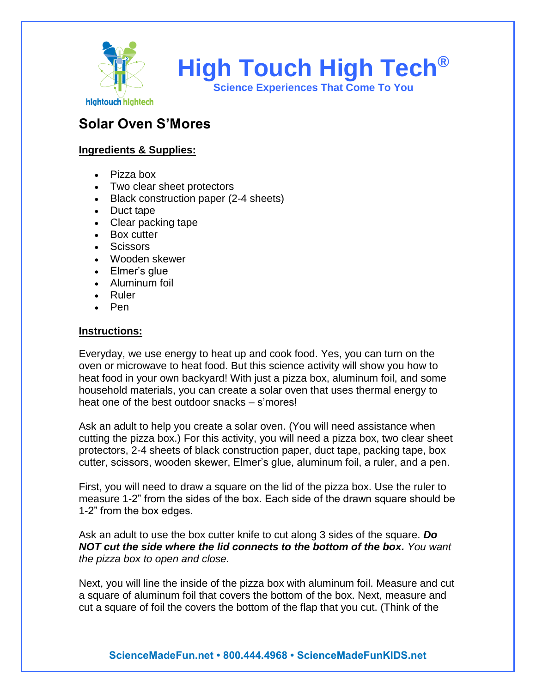

**High Touch High Tech®**

**Science Experiences That Come To You**

## **Solar Oven S'Mores**

## **Ingredients & Supplies:**

- Pizza box
- Two clear sheet protectors
- Black construction paper (2-4 sheets)
- Duct tape
- Clear packing tape
- Box cutter
- Scissors
- Wooden skewer
- Elmer's glue
- Aluminum foil
- Ruler
- Pen

## **Instructions:**

Everyday, we use energy to heat up and cook food. Yes, you can turn on the oven or microwave to heat food. But this science activity will show you how to heat food in your own backyard! With just a pizza box, aluminum foil, and some household materials, you can create a solar oven that uses thermal energy to heat one of the best outdoor snacks – s'mores!

Ask an adult to help you create a solar oven. (You will need assistance when cutting the pizza box.) For this activity, you will need a pizza box, two clear sheet protectors, 2-4 sheets of black construction paper, duct tape, packing tape, box cutter, scissors, wooden skewer, Elmer's glue, aluminum foil, a ruler, and a pen.

First, you will need to draw a square on the lid of the pizza box. Use the ruler to measure 1-2" from the sides of the box. Each side of the drawn square should be 1-2" from the box edges.

Ask an adult to use the box cutter knife to cut along 3 sides of the square. *Do NOT cut the side where the lid connects to the bottom of the box. You want the pizza box to open and close.*

Next, you will line the inside of the pizza box with aluminum foil. Measure and cut a square of aluminum foil that covers the bottom of the box. Next, measure and cut a square of foil the covers the bottom of the flap that you cut. (Think of the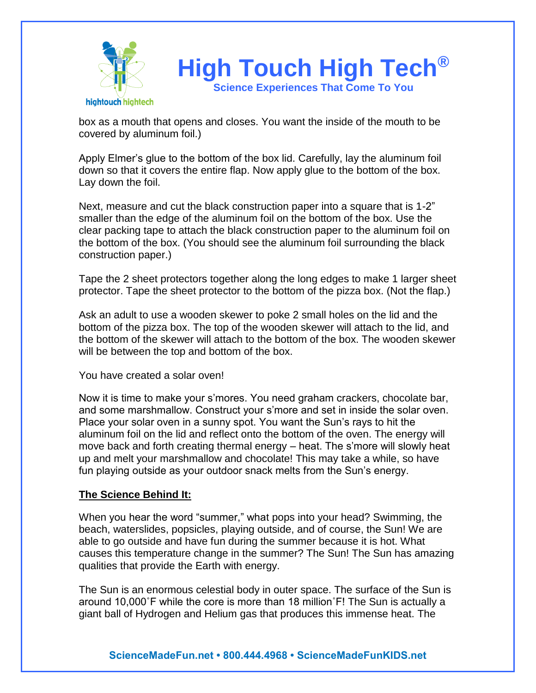

box as a mouth that opens and closes. You want the inside of the mouth to be covered by aluminum foil.)

Apply Elmer's glue to the bottom of the box lid. Carefully, lay the aluminum foil down so that it covers the entire flap. Now apply glue to the bottom of the box. Lay down the foil.

Next, measure and cut the black construction paper into a square that is 1-2" smaller than the edge of the aluminum foil on the bottom of the box. Use the clear packing tape to attach the black construction paper to the aluminum foil on the bottom of the box. (You should see the aluminum foil surrounding the black construction paper.)

Tape the 2 sheet protectors together along the long edges to make 1 larger sheet protector. Tape the sheet protector to the bottom of the pizza box. (Not the flap.)

Ask an adult to use a wooden skewer to poke 2 small holes on the lid and the bottom of the pizza box. The top of the wooden skewer will attach to the lid, and the bottom of the skewer will attach to the bottom of the box. The wooden skewer will be between the top and bottom of the box.

You have created a solar oven!

Now it is time to make your s'mores. You need graham crackers, chocolate bar, and some marshmallow. Construct your s'more and set in inside the solar oven. Place your solar oven in a sunny spot. You want the Sun's rays to hit the aluminum foil on the lid and reflect onto the bottom of the oven. The energy will move back and forth creating thermal energy – heat. The s'more will slowly heat up and melt your marshmallow and chocolate! This may take a while, so have fun playing outside as your outdoor snack melts from the Sun's energy.

## **The Science Behind It:**

When you hear the word "summer," what pops into your head? Swimming, the beach, waterslides, popsicles, playing outside, and of course, the Sun! We are able to go outside and have fun during the summer because it is hot. What causes this temperature change in the summer? The Sun! The Sun has amazing qualities that provide the Earth with energy.

The Sun is an enormous celestial body in outer space. The surface of the Sun is around 10,000˚F while the core is more than 18 million˚F! The Sun is actually a giant ball of Hydrogen and Helium gas that produces this immense heat. The